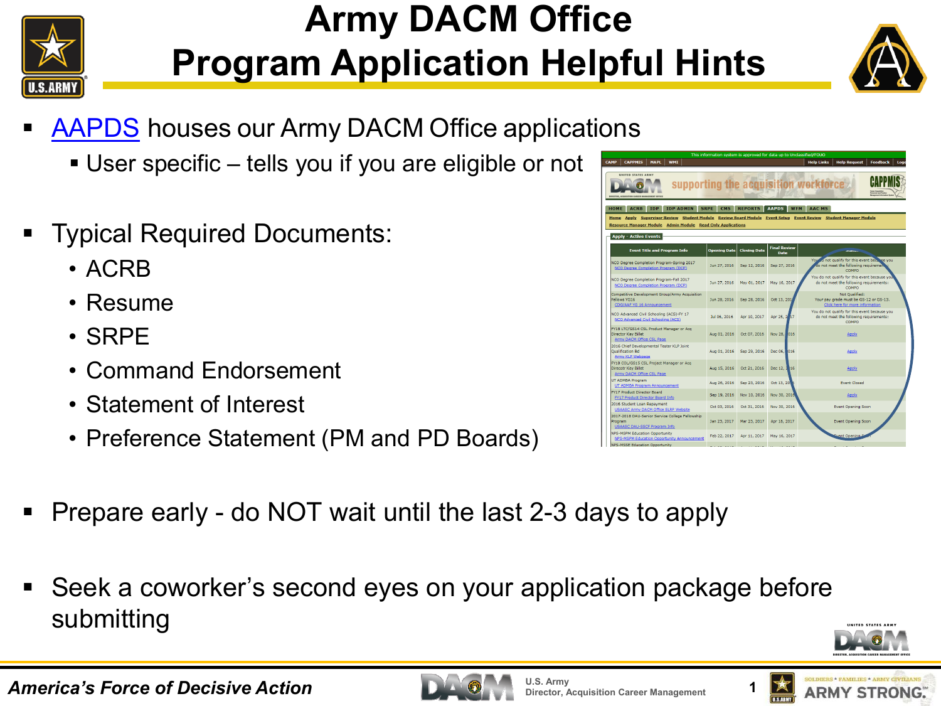

## **Army DACM Office Program Application Helpful Hints**



- [AAPDS](https://rda.altess.army.mil/camp/) houses our Army DACM Office applications
	- User specific tells you if you are eligible or not
- Typical Required Documents:
	- ACRB
	- Resume
	- SRPE
	- Command Endorsement
	- Statement of Interest
	- Preference Statement (PM and PD Boards)
- Prepare early do NOT wait until the last 2-3 days to apply
- Seek a coworker's second eyes on your application package before submitting







| UNITED STATES ARMY<br><b>BIREFORD ACADEMYRING CARDING MANAGEMENT ACENT</b>                                                                                                                                                                                                            |                     |                     |                             | supporting the acquisition workforce                                                              |
|---------------------------------------------------------------------------------------------------------------------------------------------------------------------------------------------------------------------------------------------------------------------------------------|---------------------|---------------------|-----------------------------|---------------------------------------------------------------------------------------------------|
| <b>IDP ADMIN</b><br><b>HOME</b><br><b>ACRB</b><br><b>TDP</b><br>Home Apply Supervisor Review Student Module Review Board Module Event Setup Event Review Student Manager Module<br><b>Resource Manager Module Admin Module Read Only Applications</b><br><b>Apply - Active Events</b> | <b>SRPE</b><br>CMS  | <b>REPORTS</b>      | <b>AAPDS</b><br><b>WEM</b>  | <b>AAC MS</b>                                                                                     |
| <b>Event Title and Program Info</b>                                                                                                                                                                                                                                                   | <b>Opening Date</b> | <b>Closing Date</b> | <b>Final Review</b><br>Date | <b>DEGEL</b>                                                                                      |
| NCO Degree Completion Program-Spring 2017<br>NCO Degree Completion Program (DCP)                                                                                                                                                                                                      | Jun 27, 2016        | Sep 12, 2016        | Sep 27, 2016                | You so not qualify for this event because you<br>do not meet the following requirement<br>COMPO   |
| NCO Degree Completion Program-Fall 2017<br>NCO Degree Completion Program (DCP)                                                                                                                                                                                                        | Jun 27, 2016        | May 01, 2017        | May 16, 2017                | You do not qualify for this event because you<br>do not meet the following requirements:<br>COMPO |
| Competitive Development Group/Army Acquisition<br>Fellows YG16<br>CDG/AAF YG 16 Announcement                                                                                                                                                                                          | Jun 28, 2016        | Sep 28, 2016        | Oct 13, 201                 | Not Qualified:<br>Your pay grade must be GS-12 or GS-13.<br>Click here for more information       |
| NCO Advanced Civil Schooling (ACS)-FY 17<br>NCO Advanced Civil Schooling (ACS)                                                                                                                                                                                                        | Jul 06, 2016        | Apr 10, 2017        | Apr 25, 2 17                | You do not qualify for this event because you<br>do not meet the following requirements:<br>COMPO |
| FY18 LTC/GS14 CSL Product Manager or Acg<br>Director Key Billet<br>Army DACM Office CSL Page                                                                                                                                                                                          | Aug 01, 2016        | Oct 07, 2016        | Nov 28, 016                 | <b>Apply</b>                                                                                      |
| 2016 Chief Developmental Tester KLP Joint<br><b>Oualification Bd</b><br>Army KLP Webpage                                                                                                                                                                                              | Aug 01, 2016        | Sep 29, 2016        | Dec 06, 016                 | Apply                                                                                             |
| FY18 COL/GS15 CSL Project Manager or Acq<br>Direcotr Key Billet<br>Army DACM Office CSL Page                                                                                                                                                                                          | Aug 15, 2016        | Oct 21, 2016        | Dec 12, 2 16                | <b>Apply</b>                                                                                      |
| UT ADMBA Program<br>UT ADMBA Program Announcement                                                                                                                                                                                                                                     | Aug 26, 2016        | Sep 23, 2016        | Oct 13, 20                  | <b>Event Closed</b>                                                                               |
| <b>FY17 Product Director Board</b><br>FY17 Product Director Board Info.                                                                                                                                                                                                               | Sep 19, 2016        | Nov 10, 2016        | Nov 30, 2016                | <b>Apply</b>                                                                                      |
| 2016 Student Loan Repayment<br>USAASC Army DACM Office SLRP Website                                                                                                                                                                                                                   | Oct 03, 2016        | Oct 31, 2016        | Nov 30, 2016                | <b>Event Opening Soon</b>                                                                         |
| 2017-2018 DAU-Senior Service College Fellowship<br>Program<br>USAASC DAU-SSCF Program Info.                                                                                                                                                                                           | Jan 23, 2017        | Mar 23, 2017        | Apr 18, 2017                | Event Opening Soon                                                                                |
| <b>NPS-MSPM Education Opportunity</b><br>NPS-MSPM Education Opportunity Announcement                                                                                                                                                                                                  | Feb 22, 2017        | Apr 11, 2017        | May 16, 2017                | went Opening S                                                                                    |
| <b>NPS-MSSE Education Opportunity</b>                                                                                                                                                                                                                                                 |                     |                     |                             |                                                                                                   |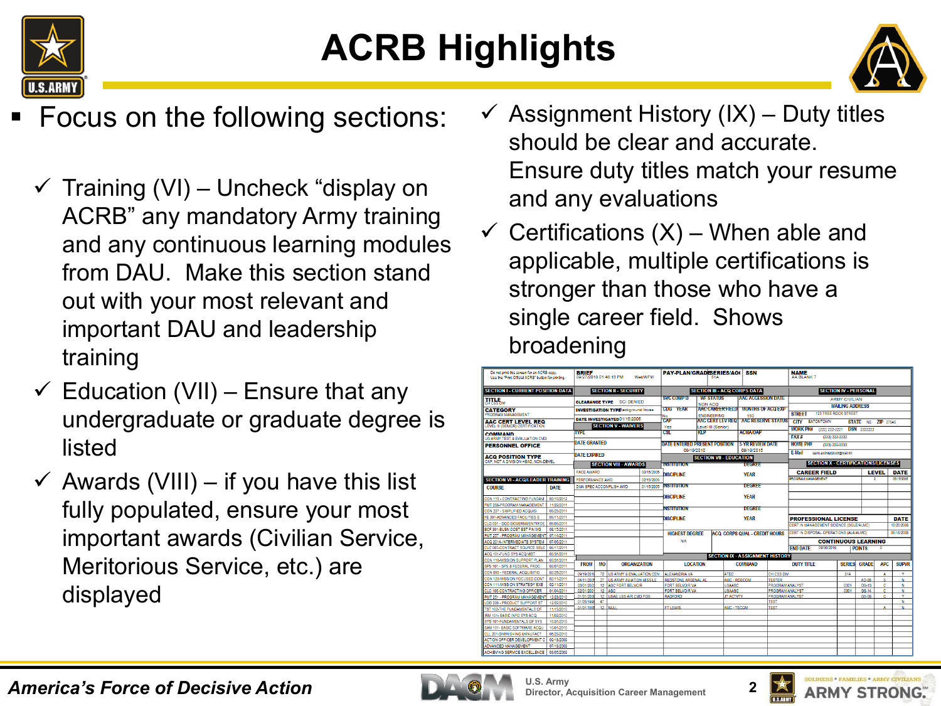

# **ACRB Highlights**



- Focus on the following sections:
	- $\checkmark$  Training (VI) Uncheck "display on ACRB" any mandatory Army training and any continuous learning modules from DAU. Make this section stand out with your most relevant and important DAU and leadership training
	- $\checkmark$  Education (VII) Ensure that any undergraduate or graduate degree is listed
	- $\checkmark$  Awards (VIII) if you have this list fully populated, ensure your most important awards (Civilian Service, Meritorious Service, etc.) are displayed
- $\checkmark$  Assignment History (IX) Duty titles should be clear and accurate. Ensure duty titles match your resume and any evaluations
- Certifications  $(X)$  When able and applicable, multiple certifications is stronger than those who have a single career field. Shows broadening

| Do not print this screen for an ACRB copy                    |                          | <b>BRIEF</b>           |                                    |                                            |               | <b>PAY-PLAN/GRADESERIES/AOO</b>    |         |                                     | <b>SSN</b>                                 |                                                  | <b>NAME</b>                                                           |                              |                    |         |                           |
|--------------------------------------------------------------|--------------------------|------------------------|------------------------------------|--------------------------------------------|---------------|------------------------------------|---------|-------------------------------------|--------------------------------------------|--------------------------------------------------|-----------------------------------------------------------------------|------------------------------|--------------------|---------|---------------------------|
| Use the "Print Official ACRB" button for printing.           |                          | 09/27/2016 01:46:13 PM |                                    |                                            | <b>WebWFM</b> |                                    |         |                                     |                                            |                                                  | AA BLANK 7                                                            |                              |                    |         |                           |
| <b>SECTION I - CURRENT POSITION DATA</b>                     |                          |                        |                                    | <b>SECTION II SECURITY</b>                 |               |                                    |         | <b>SECTION III - ACQ CORPS DATA</b> |                                            |                                                  |                                                                       | <b>SECTION IV - PERSONAL</b> |                    |         |                           |
| <b>TITLE</b>                                                 |                          |                        |                                    |                                            |               | <b>SVC COMP D</b>                  |         | <b>WE STATUS</b>                    | <b>AAC ACCESSION DATE</b>                  |                                                  |                                                                       | <b>ARMY CIVILIAN</b>         |                    |         |                           |
|                                                              |                          |                        |                                    | <b>CLEARANCE TYPE SCI DENIED</b>           |               | <b>CDG</b><br><b>YEAR</b>          | NON ACQ |                                     | <b>AACCARPERTIELD MONTHS OF ACCEXP</b>     |                                                  |                                                                       | <b>MAILING ADDRESS</b>       |                    |         |                           |
| CATEGORY<br>PROGRAM MANAGEMENT                               |                          |                        |                                    | <b>INVESTIGATION TYPE ackground Invest</b> |               | No                                 |         | <b>ENGINEERING</b>                  | 150                                        |                                                  | <b>STREET</b>                                                         | <b>123 TREE ROCK STREET</b>  |                    |         |                           |
| AAC CERT LEVEL REO                                           |                          |                        |                                    | DATE INVESTIGATED 01/15/2005               |               | CAP                                |         |                                     | <b>AAC CERT LEV REQ AAC RESERVE STATUS</b> |                                                  | <b>CITY EATONTOWN</b>                                                 |                              | STATE NE ZIP 07645 |         |                           |
| LEVEL III (SENIOR) CERTIFICATION                             |                          |                        |                                    | <b>SECTION V - WAIVERS</b>                 |               | Yes                                |         | Level III (Senior)                  |                                            |                                                  | <b>WORK PH#</b><br>(222) 222-2221                                     |                              | <b>DSN</b> 2222222 |         |                           |
| <b>COMMAND</b>                                               |                          | <b>TYPE</b>            |                                    |                                            |               | $\overline{\text{cst}}$            | KLP     |                                     | <b>ACMA/OAP</b>                            |                                                  | FAX#                                                                  | (333) 333-3333               |                    |         |                           |
| US ARMY TEST & EVALUATION CMD.                               |                          | <b>DATE GRANTED</b>    |                                    |                                            |               | DATE ENTERED PRESENT POSITION      |         |                                     | <b>5.YR REVIEW DATE</b>                    |                                                  | <b>HOME PH#</b>                                                       |                              |                    |         |                           |
| <b>PERSONNEL OFFICE</b>                                      |                          |                        |                                    |                                            |               | 09/19/2010                         |         |                                     | 09/19/2015                                 |                                                  |                                                                       | (333) 222-3333               |                    |         |                           |
| <b>ACO POSITION TYPE</b>                                     |                          | <b>DATE EXPIRED</b>    |                                    |                                            |               |                                    |         |                                     |                                            |                                                  | F.Mail<br>david a kinder20 ctr@mail.mit                               |                              |                    |         |                           |
| CAP, NOT A DIVISION HEAD, NON-DEVEL.                         |                          |                        |                                    | <b>SECTION VIII - AWARDS</b>               |               | <b>INSTITUTION</b>                 |         | <b>SECTION VII - EDUCATION</b>      | DEGREE                                     |                                                  | <b>SECTION X - CERTIFICATIONS/LICENSES</b>                            |                              |                    |         |                           |
|                                                              |                          |                        |                                    |                                            |               |                                    |         |                                     |                                            |                                                  |                                                                       |                              |                    |         |                           |
|                                                              |                          | <b>PACE AWARD</b>      |                                    |                                            | 03/15/2005    | <b>DISCIPLINE</b>                  |         |                                     | <b>YEAR</b>                                |                                                  | <b>CAREER FIELD</b>                                                   |                              |                    | LEVEL   | <b>DATE</b>               |
| <b>SECTION VI - ACO/LEADER TRAINING</b>                      |                          | PERFORMANCE AWD        |                                    |                                            | 02/15/2005    |                                    |         |                                     |                                            |                                                  | PROGRAM MANAGEMENT                                                    |                              |                    |         | 05/15/2005                |
| <b>COURSE</b>                                                | DATE                     |                        |                                    | DMA SPEC ACCOMPLISH AWD                    | 01/15/2005    | <b>NSTITUTION</b>                  |         |                                     | <b>DEGREE</b>                              |                                                  |                                                                       |                              |                    |         |                           |
|                                                              |                          |                        |                                    |                                            |               | <b>DISCIPLINE</b>                  |         |                                     | <b>YEAR</b>                                |                                                  |                                                                       |                              |                    |         |                           |
| CON 115 - CONTRACTING FUNDAM<br>PMT 255-PROGRAM MANAGEMENT   | 03/10/2012               |                        |                                    |                                            |               |                                    |         |                                     |                                            |                                                  |                                                                       |                              |                    |         |                           |
| CON 237 - SIMPLIFIED ACQUISI                                 | 11/22/2011<br>09/29/2011 |                        |                                    |                                            |               | <b>NSTITUTION</b>                  |         |                                     | <b>DEGREE</b>                              |                                                  |                                                                       |                              |                    |         |                           |
| FE 301-ADVANCED FACILITIES E                                 | 09/11/2011               |                        |                                    |                                            |               |                                    |         |                                     | <b>YFAR</b>                                |                                                  |                                                                       |                              |                    |         |                           |
| CLG 001 - DOD GOVERNMENTWIDE                                 | 09/08/2011               |                        |                                    |                                            |               | <b>DISCIPI INF</b>                 |         |                                     |                                            |                                                  | <b>PROFESSIONAL LICENSE</b><br>CERT IN MANAGEMENT SCIENCE (SOLE/ALMC) |                              |                    |         | <b>DATE</b><br>10/20/2008 |
| BCF 301-BUSN COST EST FIN MG                                 | 08/15/2011               |                        |                                    |                                            |               |                                    |         |                                     |                                            |                                                  |                                                                       |                              |                    |         |                           |
| PMT 257 - PROGRAM MANAGEMEN                                  | 07/14/2011               |                        |                                    |                                            |               | <b>HIGHEST DEGREE</b>              |         |                                     | <b>ACO, CORPS QUAL - CREDIT HOURS</b>      |                                                  | CERT IN DISPOSAL OPERATIONS (ALA/ALMC)                                |                              |                    |         | 06/18/2008                |
| ACQ 201A-INTERMEDIATE SYSTEM                                 | 07/05/2011               |                        |                                    |                                            |               | <b>N/A</b>                         |         |                                     |                                            |                                                  |                                                                       | <b>CONTINUOUS LEARNING</b>   |                    |         |                           |
| CLC 007-CONTRACT SOURCE SELE                                 | 05/17/2011               |                        |                                    |                                            |               |                                    |         |                                     |                                            |                                                  | 09/30/2016<br><b>FND DATE:</b>                                        |                              | <b>POINTS:</b>     | n       |                           |
| ACO 101-FUND SYS ACO MGT                                     | 03/31/2011               |                        |                                    |                                            |               |                                    |         |                                     | <b>SECTION IX - ASSIGNMENT HISTORY</b>     |                                                  |                                                                       |                              |                    |         |                           |
| CON 110-MISSION SUPPORT PLAN                                 | 03/31/2011               | <b>FROM</b>            | <b>MO</b>                          | <b>ORGANIZATION</b>                        |               | <b>LOCATION</b>                    |         |                                     | <b>COMMAND</b>                             |                                                  | <b>DUTY TITLE</b>                                                     | <b>SFRIFS</b>                | <b>GRADE</b>       | APC     | <b>SUPVR</b>              |
| SPS 101 - SPS & FEDERAL PROC                                 | 03/07/2011               |                        |                                    |                                            |               |                                    |         |                                     |                                            |                                                  |                                                                       |                              |                    |         |                           |
| CON 090 - FEDERAL ACQUISITIO                                 | 02/26/2011               | 09/19/201              | 72                                 | US ARMY & EVALUATION CEN.                  |               | ALEXANDRIA VA                      |         | <b>ATEC</b>                         |                                            | CH CSS DIV                                       |                                                                       | 544                          |                    | ٨       | v                         |
| CON 120-MISSION FOCUSED CONT<br>CON 111-MISSION STRATEGY EXE | 02/11/2011<br>02/11/2011 | 04/11/20               | 27                                 | IS ARMY AVIATION MISSILE.                  |               | REDSTONE ARSENAL AL                |         |                                     | AMC - ROECOM                               | TESTER                                           |                                                                       |                              | 40.08              | ×.      | N                         |
| CLC 105-CONTRACTING OFFICER                                  | 01/04/2011               | 03/01/200<br>02/01/200 | 12 <sup>°</sup><br>12 <sup>°</sup> | ASC FORT BELVOIR<br>ASC                    |               | FORT BELVOIR VA<br>FORT BELVOIR VA |         | <b>JSAASC</b><br><b>JSAASC</b>      |                                            | <b>PROGRAM ANALYST</b><br><b>PROGRAM ANALYST</b> |                                                                       | 0301<br>0301                 | GS-13<br>GS-14     | c.<br>c | N<br>N                    |
| PMT 251 - PROGRAM MANAGEMEN                                  | 12/23/2010               | 01/01/20               | 12 <sup>°</sup>                    | USAE USS AIR CMD POS                       |               | RADFORD                            |         | <b>IT ACTVTY</b>                    |                                            | <b>PROGRAM ANALYST</b>                           |                                                                       |                              | GS-08              | ×       | v                         |
| LOG 200 - PRODUCT SUPPORT ST                                 | 12/22/2010               | 01/05/199              | 47                                 |                                            |               |                                    |         |                                     |                                            | TEST                                             |                                                                       |                              |                    |         | $\mathbf{N}$              |
| TST 102-THE FUNDAMENTALS OF                                  | 11/15/2010               | 01/01/199              | 12 <sup>°</sup>                    | NH BH                                      |               | FT LEWIS                           |         | AMC - TECOM                         |                                            | <b>TEST</b>                                      |                                                                       |                              |                    | A       | N                         |
| IRM 101- BASIC INFO SYS ACO                                  | 11/02/2010               |                        |                                    |                                            |               |                                    |         |                                     |                                            |                                                  |                                                                       |                              |                    |         |                           |
| SYS 101-FUNDAMENTALS OF SYS                                  | 10/31/2010               |                        |                                    |                                            |               |                                    |         |                                     |                                            |                                                  |                                                                       |                              |                    |         |                           |
| SAM 101- BASIC SOFTWARE ACQU                                 | 10/01/2010               |                        |                                    |                                            |               |                                    |         |                                     |                                            |                                                  |                                                                       |                              |                    |         |                           |
| CLL 201-DIMINISHING MANUFACT                                 | 06/29/2010               |                        |                                    |                                            |               |                                    |         |                                     |                                            |                                                  |                                                                       |                              |                    |         |                           |
| ACTION OFFICER DEVELOPMENT O                                 | 09/18/2009               |                        |                                    |                                            |               |                                    |         |                                     |                                            |                                                  |                                                                       |                              |                    |         |                           |
| ADVANCED MANAGEMENT                                          | 07/18/2009               |                        |                                    |                                            |               |                                    |         |                                     |                                            |                                                  |                                                                       |                              |                    |         |                           |
| ACHIEVING SERVICE EXCELLENCE                                 | 03/05/2009               |                        |                                    |                                            |               |                                    |         |                                     |                                            |                                                  |                                                                       |                              |                    |         |                           |



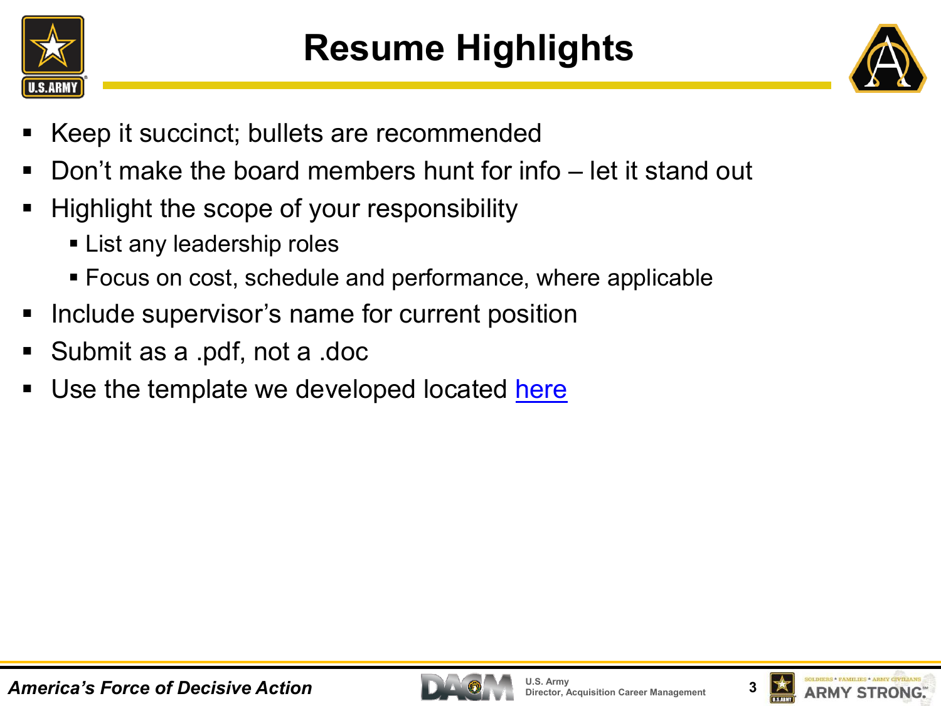



- Keep it succinct; bullets are recommended
- Don't make the board members hunt for info let it stand out
- Highlight the scope of your responsibility
	- **Example List any leadership roles**
	- Focus on cost, schedule and performance, where applicable
- Include supervisor's name for current position
- Submit as a .pdf, not a .doc
- Use the template we developed located [here](http://asc.army.mil/web/career-development/programs/best-practices/)



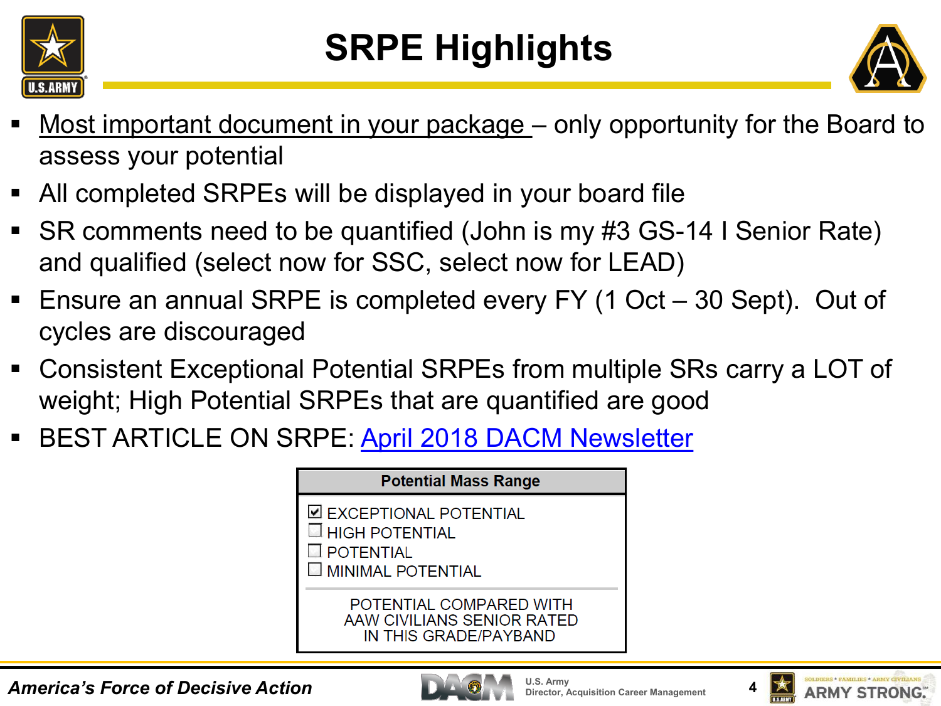

# **SRPE Highlights**



- Most important document in your package only opportunity for the Board to assess your potential
- All completed SRPEs will be displayed in your board file
- SR comments need to be quantified (John is my #3 GS-14 I Senior Rate) and qualified (select now for SSC, select now for LEAD)
- Ensure an annual SRPE is completed every FY (1 Oct 30 Sept). Out of cycles are discouraged
- Consistent Exceptional Potential SRPEs from multiple SRs carry a LOT of weight; High Potential SRPEs that are quantified are good
- **BEST ARTICLE ON SRPE: [April 2018 DACM Newsletter](https://asc.army.mil/web/wp-content/uploads/2018/04/DACM-Newsletter_April2018.pdf)**





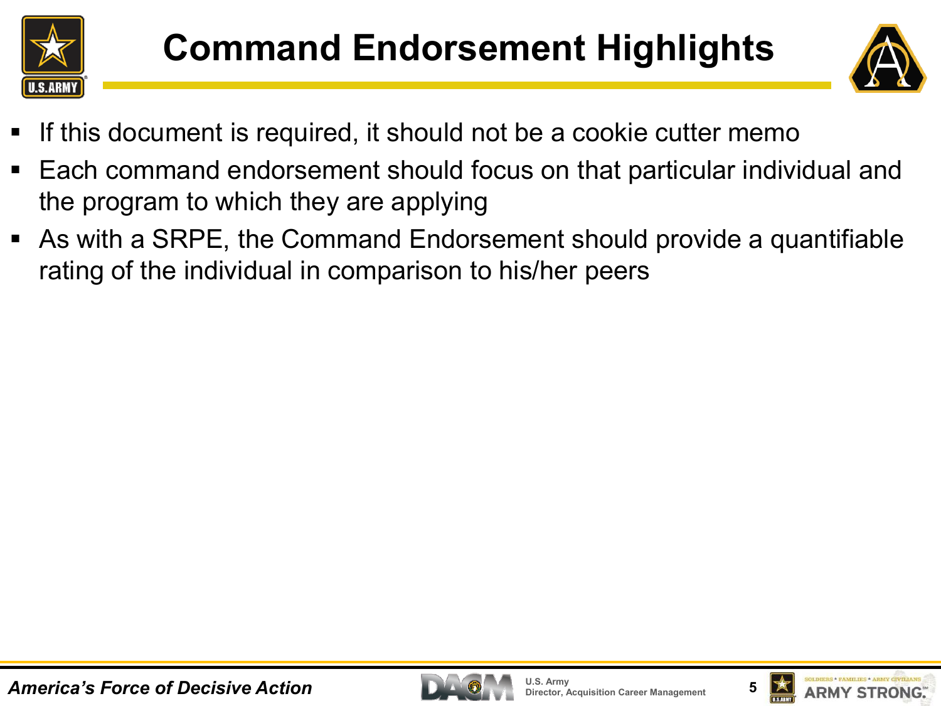



- If this document is required, it should not be a cookie cutter memo
- Each command endorsement should focus on that particular individual and the program to which they are applying
- As with a SRPE, the Command Endorsement should provide a quantifiable rating of the individual in comparison to his/her peers



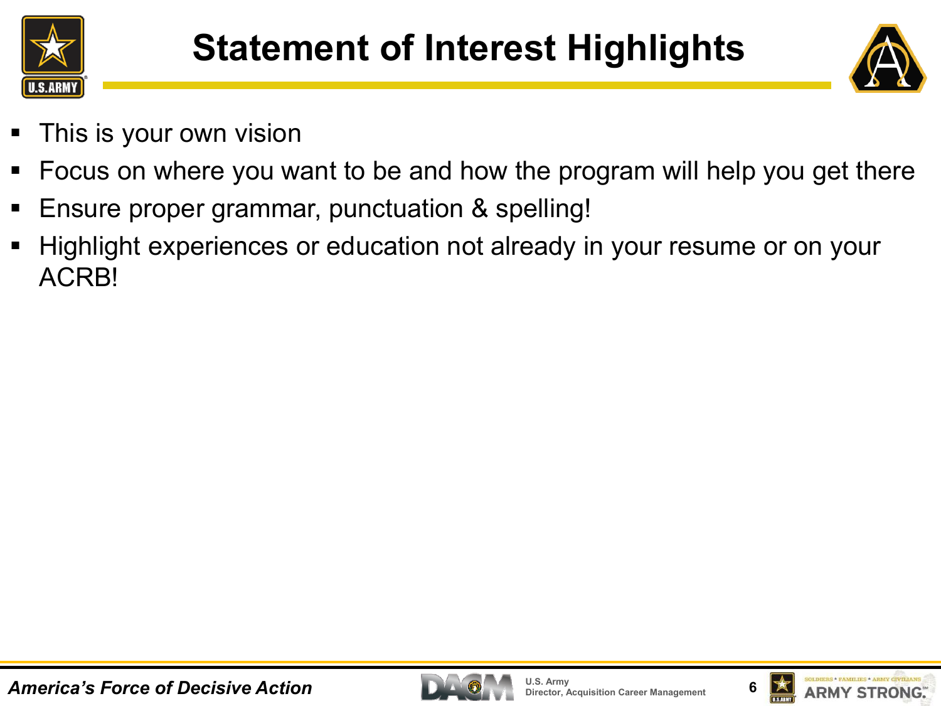



- This is your own vision
- Focus on where you want to be and how the program will help you get there
- Ensure proper grammar, punctuation & spelling!
- Highlight experiences or education not already in your resume or on your ACRB!



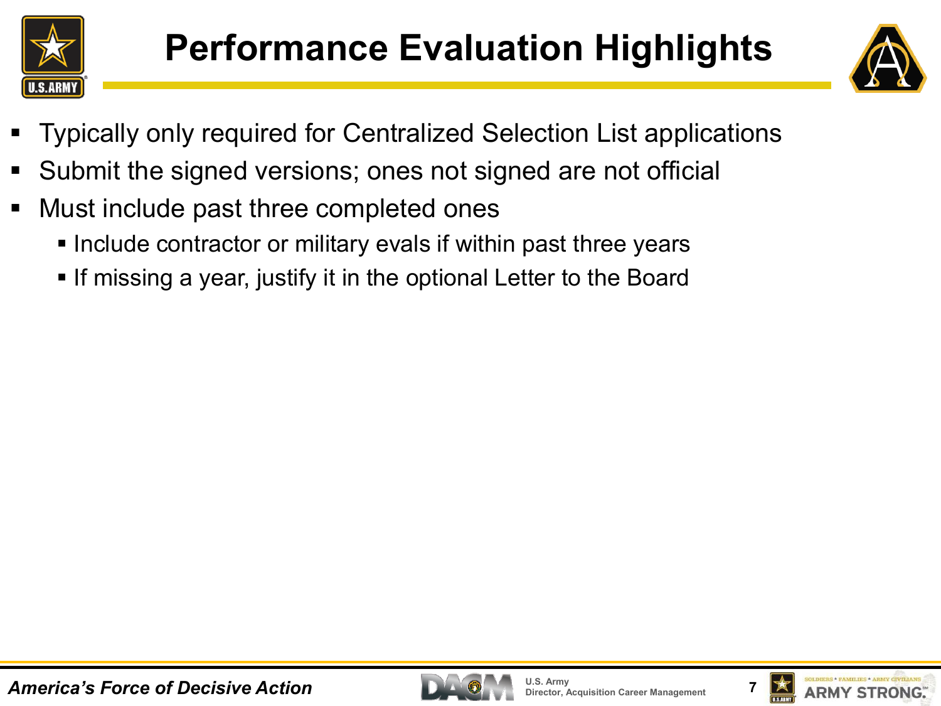



- Typically only required for Centralized Selection List applications
- Submit the signed versions; ones not signed are not official
- Must include past three completed ones
	- **Include contractor or military evals if within past three years**
	- **If missing a year, justify it in the optional Letter to the Board**



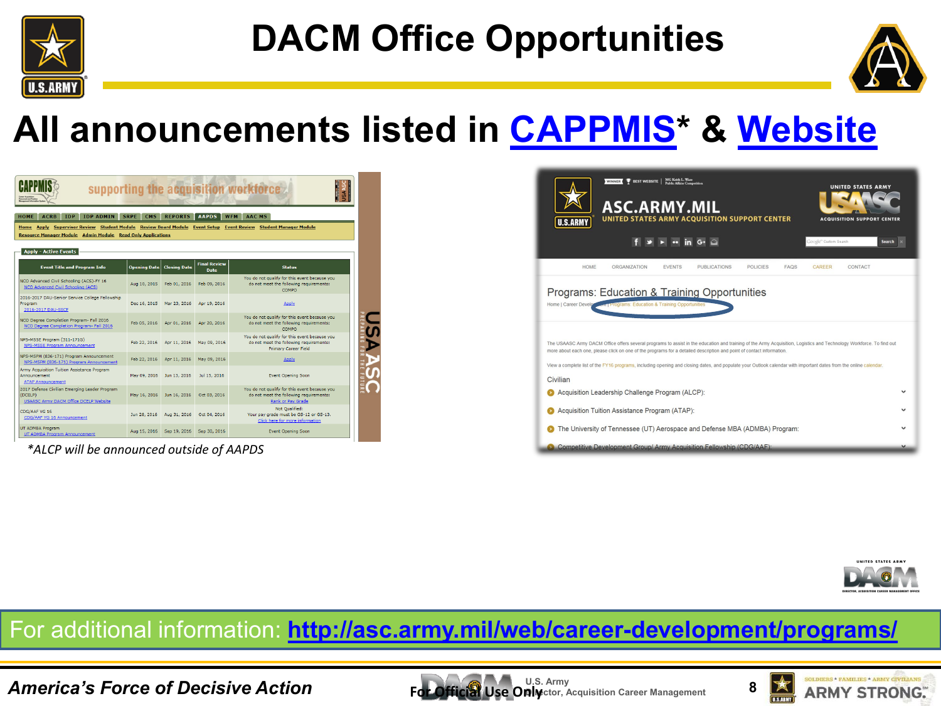

# **DACM Office Opportunities**



### **All announcements listed in [CAPPMIS\\*](https://rda.altess.army.mil/camp/) & [Website](http://asc.army.mil/web/access-cd-army-dacm-office-announces-training-leadership-and-educational-opportunities-for-fy16/)**

| med and Posts                                                                                                                                                                   |                     |                     |                                    | supporting the acquisition workforce                                                                                 |
|---------------------------------------------------------------------------------------------------------------------------------------------------------------------------------|---------------------|---------------------|------------------------------------|----------------------------------------------------------------------------------------------------------------------|
| <b>HOME</b><br><b>ACRB</b><br><b>IDP</b><br><b>IDP ADMIN</b><br>Home Apply Supervisor Review Student Module Review Board Module Event Setup Event Review Student Manager Module | <b>SRPE</b><br>CMS  | <b>REPORTS</b>      | <b>AAPDS</b>                       | <b>AAC MS</b><br><b>WFM</b>                                                                                          |
| <b>Resource Manager Module Admin Module Read Only Applications</b>                                                                                                              |                     |                     |                                    |                                                                                                                      |
| <b>Apply - Active Events</b>                                                                                                                                                    |                     |                     |                                    |                                                                                                                      |
| <b>Event Title and Program Info</b>                                                                                                                                             | <b>Opening Date</b> | <b>Closing Date</b> | <b>Final Review</b><br><b>Date</b> | <b>Status</b>                                                                                                        |
| NCO Advanced Civil Schooling (ACS)-FY 16<br>NCO Advanced Civil Schooling (ACS)                                                                                                  | Aug 10, 2015        | Feb 01, 2016        | Feb 09, 2016                       | You do not qualify for this event because you<br>do not meet the following requirements:<br>COMPO                    |
| 2016-2017 DAU-Senior Service College Fellowship<br>Program<br>2016-2017 DAU-SSCF                                                                                                | Dec 16, 2015        | Mar 23, 2016        | Apr 19, 2016                       | Apply                                                                                                                |
| NCO Degree Completion Program- Fall 2016<br>NCO Degree Completion Program- Fall 2016                                                                                            | Feb 05, 2016        | Apr 01, 2016        | Apr 20, 2016                       | You do not qualify for this event because you<br>do not meet the following requirements:<br>COMPO                    |
| NPS-MSSE Program (311-171G)<br><b>NPS-MSSE Program Announcement</b>                                                                                                             | Feb 22, 2016        | Apr 11, 2016        | May 09, 2016                       | You do not qualify for this event because you<br>do not meet the following requirements:<br>Primary Career Field     |
| NPS-MSPM (836-171) Program Announcement<br>NPS-MSPM (836-171) Program Announcement                                                                                              | Feb 22, 2016        | Apr 11, 2016        | May 09, 2016                       | Apply                                                                                                                |
| Army Acquisition Tuition Assistance Program<br>Announcement<br><b>ATAP Announcement</b>                                                                                         | May 09, 2016        | Jun 13, 2016        | Jul 15, 2016                       | <b>Event Opening Soon</b>                                                                                            |
| 2017 Defense Civilian Emerging Leader Program<br>(DCELP)<br>USAASC Army DACM Office DCELP Website                                                                               | May 16, 2016        | Jun 16, 2016        | Oct 03, 2016                       | You do not qualify for this event because you<br>do not meet the following requirements:<br><b>Rank or Pay Grade</b> |
| CDG/AAF YG 16<br>CDG/AAF YG 16 Announcement                                                                                                                                     | Jun 28, 2016        | Aug 31, 2016        | Oct 04, 2016                       | Not Oualified:<br>Your pay grade must be GS-12 or GS-13.<br>Click here for more information                          |
| UT ADMBA Program<br>UT ADMBA Program Announcement                                                                                                                               | Aug 15, 2016        | Sep 19, 2016        | Sep 30, 2016                       | <b>Event Opening Soon</b>                                                                                            |

*\*ALCP will be announced outside of AAPDS*

| <b>BEST WEBSITE</b><br>WINNER (<br><b>UNITED STATES ARMY</b><br><b>ASC.ARMY.MIL</b><br>UNITED STATES ARMY ACQUISITION SUPPORT CENTER<br><b>ACQUISITION SUPPORT CENTER</b><br><b>U.S.ARMY</b><br>in $G^*$ $\bigcirc$<br>Google" Oustom Search                                                                                                                                                                                                                       | <b>Search</b> |
|--------------------------------------------------------------------------------------------------------------------------------------------------------------------------------------------------------------------------------------------------------------------------------------------------------------------------------------------------------------------------------------------------------------------------------------------------------------------|---------------|
| <b>HOME</b><br><b>ORGANIZATION</b><br><b>POLICIES</b><br><b>EVENTS</b><br><b>PUBLICATIONS</b><br><b>FAOS</b><br>CAREER<br>CONTACT                                                                                                                                                                                                                                                                                                                                  |               |
| Programs: Education & Training Opportunities<br><b>Exam Programs: Education &amp; Training Opportunities</b><br>Home   Career Develo                                                                                                                                                                                                                                                                                                                               |               |
| The USAASC Army DACM Office offers several programs to assist in the education and training of the Army Acquisition, Logistics and Technology Workforce. To find out<br>more about each one, please click on one of the programs for a detailed description and point of contact information.<br>View a complete list of the FY16 programs, including opening and closing dates, and populate your Outlook calendar with important dates from the online calendar. |               |
| Civilian                                                                                                                                                                                                                                                                                                                                                                                                                                                           |               |
| Acquisition Leadership Challenge Program (ALCP):                                                                                                                                                                                                                                                                                                                                                                                                                   |               |
| Acquisition Tuition Assistance Program (ATAP):                                                                                                                                                                                                                                                                                                                                                                                                                     |               |
| The University of Tennessee (UT) Aerospace and Defense MBA (ADMBA) Program:                                                                                                                                                                                                                                                                                                                                                                                        |               |
| Competitive Development Group/Army Acquisition Fellowship (CDG/AAF):                                                                                                                                                                                                                                                                                                                                                                                               |               |



#### For additional information: **<http://asc.army.mil/web/career-development/programs/>**